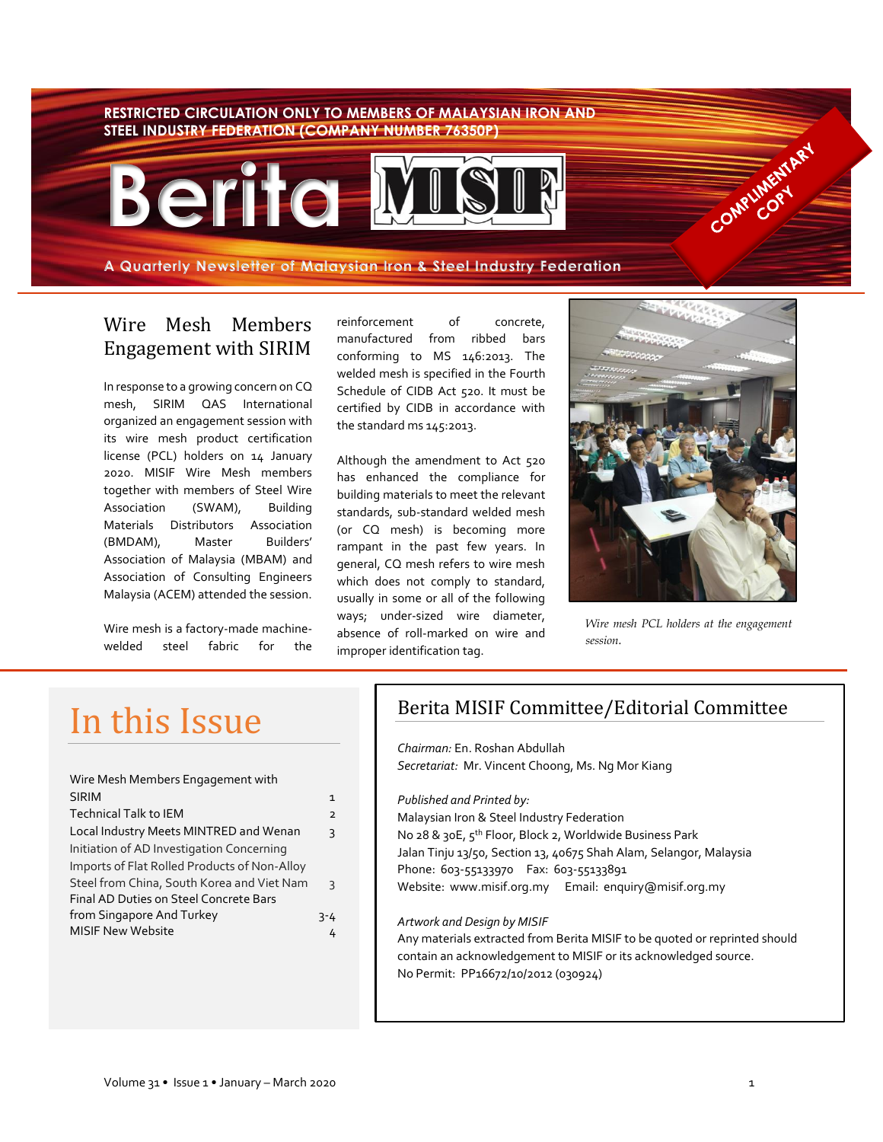#### **RESTRICTED CIRCULATION ONLY TO MEMBERS OF MALAYSIAN IRON AND STEEL INDUSTRY FEDERATION (COMPANY NUMBER 76350P)**



**A Quarterly Newsletter of Malaysian Iron & Steel Industry Federation**

#### Wire Mesh Members Engagement with SIRIM

In response to a growing concern on CQ mesh, SIRIM QAS International organized an engagement session with its wire mesh product certification license (PCL) holders on 14 January 2020. MISIF Wire Mesh members together with members of Steel Wire Association (SWAM), Building Materials Distributors Association (BMDAM), Master Builders' Association of Malaysia (MBAM) and Association of Consulting Engineers Malaysia (ACEM) attended the session.

Wire mesh is a factory-made machinewelded steel fabric for the

reinforcement of concrete, manufactured from ribbed bars conforming to MS 146:2013. The welded mesh is specified in the Fourth Schedule of CIDB Act 520. It must be certified by CIDB in accordance with the standard ms 145:2013.

Although the amendment to Act 520 has enhanced the compliance for building materials to meet the relevant standards, sub-standard welded mesh (or CQ mesh) is becoming more rampant in the past few years. In general, CQ mesh refers to wire mesh which does not comply to standard, usually in some or all of the following ways; under-sized wire diameter, absence of roll-marked on wire and improper identification tag.



Competities of Assembly

*Wire mesh PCL holders at the engagement session.*

# In this Issue

| Wire Mesh Members Engagement with            |                |
|----------------------------------------------|----------------|
| <b>SIRIM</b>                                 | 1              |
| <b>Technical Talk to IEM</b>                 | $\overline{2}$ |
| Local Industry Meets MINTRED and Wenan       | 3              |
| Initiation of AD Investigation Concerning    |                |
| Imports of Flat Rolled Products of Non-Alloy |                |
| Steel from China, South Korea and Viet Nam   | ς              |
| Final AD Duties on Steel Concrete Bars       |                |
| from Singapore And Turkey                    | 3-4            |
| <b>MISIF New Website</b>                     | 4              |

# Berita MISIF Committee/Editorial Committee

*Chairman:* En. Roshan Abdullah *Secretariat:* Mr. Vincent Choong, Ms. Ng Mor Kiang

*Published and Printed by:*  Malaysian Iron & Steel Industry Federation No 28 & 30E, 5th Floor, Block 2, Worldwide Business Park Jalan Tinju 13/50, Section 13, 40675 Shah Alam, Selangor, Malaysia Phone: 603-55133970 Fax: 603-55133891 Website: www.misif.org.my Email: enquiry@misif.org.my

#### *Artwork and Design by MISIF*

Any materials extracted from Berita MISIF to be quoted or reprinted should contain an acknowledgement to MISIF or its acknowledged source. No Permit: PP16672/10/2012 (030924)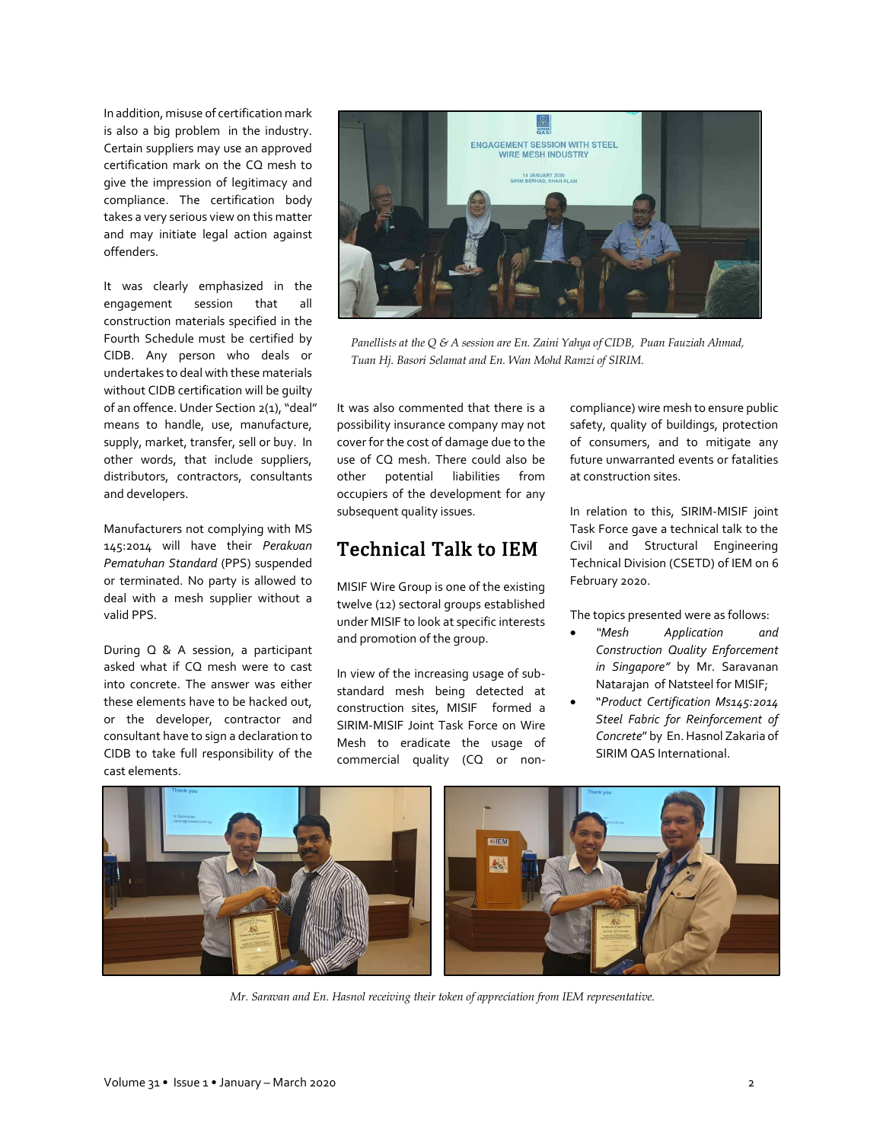In addition, misuse of certification mark is also a big problem in the industry. Certain suppliers may use an approved certification mark on the CQ mesh to give the impression of legitimacy and compliance. The certification body takes a very serious view on this matter and may initiate legal action against offenders.

It was clearly emphasized in the engagement session that all construction materials specified in the Fourth Schedule must be certified by CIDB. Any person who deals or undertakes to deal with these materials without CIDB certification will be guilty of an offence. Under Section 2(1), "deal" means to handle, use, manufacture, supply, market, transfer, sell or buy. In other words, that include suppliers, distributors, contractors, consultants and developers.

Manufacturers not complying with MS 145:2014 will have their *Perakuan Pematuhan Standard* (PPS) suspended or terminated. No party is allowed to deal with a mesh supplier without a valid PPS.

During Q & A session, a participant asked what if CQ mesh were to cast into concrete. The answer was either these elements have to be hacked out, or the developer, contractor and consultant have to sign a declaration to CIDB to take full responsibility of the cast elements.



*Panellists at the Q & A session are En. Zaini Yahya of CIDB, Puan Fauziah Ahmad, Tuan Hj. Basori Selamat and En. Wan Mohd Ramzi of SIRIM.*

It was also commented that there is a possibility insurance company may not cover for the cost of damage due to the use of CQ mesh. There could also be other potential liabilities from occupiers of the development for any subsequent quality issues.

### Technical Talk to IEM

MISIF Wire Group is one of the existing twelve (12) sectoral groups established under MISIF to look at specific interests and promotion of the group.

In view of the increasing usage of substandard mesh being detected at construction sites, MISIF formed a SIRIM-MISIF Joint Task Force on Wire Mesh to eradicate the usage of commercial quality (CQ or noncompliance) wire mesh to ensure public safety, quality of buildings, protection of consumers, and to mitigate any future unwarranted events or fatalities at construction sites.

In relation to this, SIRIM-MISIF joint Task Force gave a technical talk to the Civil and Structural Engineering Technical Division (CSETD) of IEM on 6 February 2020.

The topics presented were as follows:

- *"Mesh Application and Construction Quality Enforcement in Singapore"* by Mr. Saravanan Natarajan of Natsteel for MISIF;
- "*Product Certification Ms145:2014 Steel Fabric for Reinforcement of Concrete*" by En. Hasnol Zakaria of SIRIM QAS International.



*Mr. Saravan and En. Hasnol receiving their token of appreciation from IEM representative.*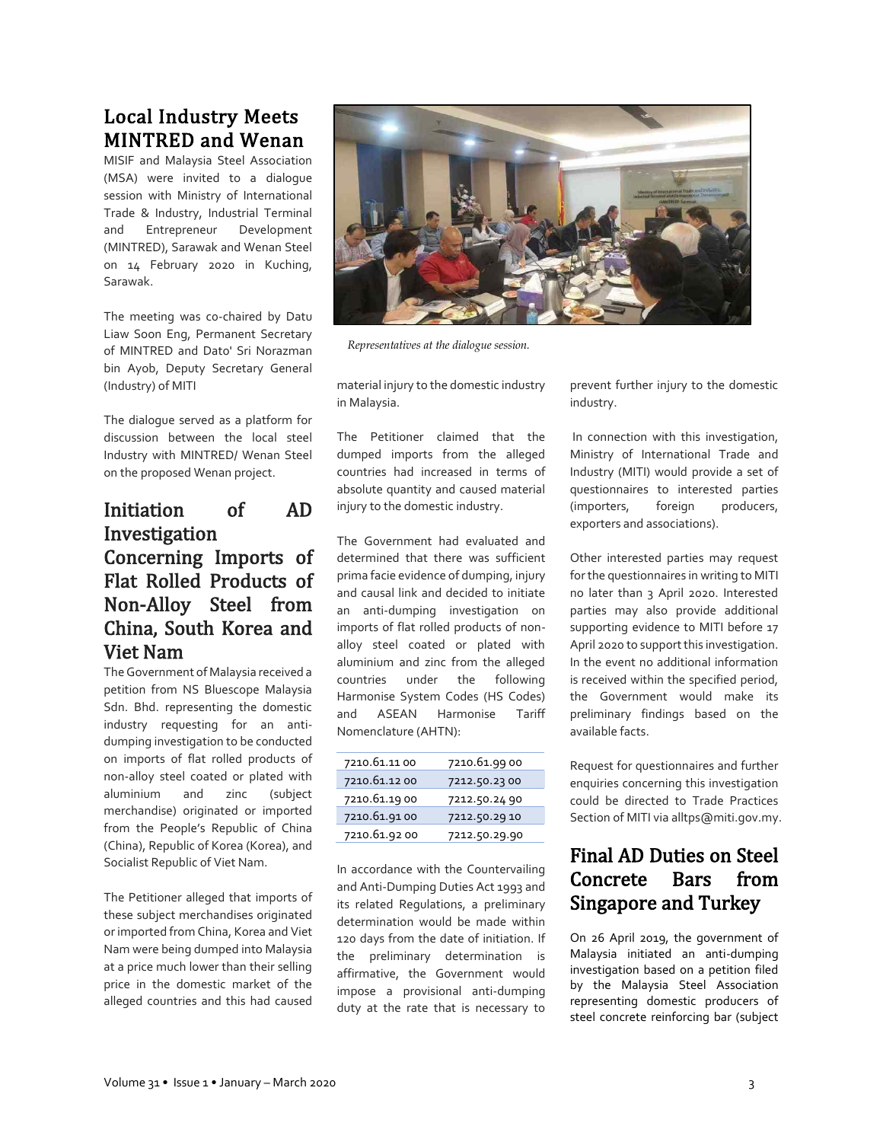# Local Industry Meets MINTRED and Wenan

MISIF and Malaysia Steel Association (MSA) were invited to a dialogue session with Ministry of International Trade & Industry, Industrial Terminal and Entrepreneur Development (MINTRED), Sarawak and Wenan Steel on 14 February 2020 in Kuching, Sarawak.

The meeting was co-chaired by Datu Liaw Soon Eng, Permanent Secretary of MINTRED and Dato' Sri Norazman bin Ayob, Deputy Secretary General (Industry) of MITI

The dialogue served as a platform for discussion between the local steel Industry with MINTRED/ Wenan Steel on the proposed Wenan project.

## Initiation of AD Investigation Concerning Imports of Flat Rolled Products of Non-Alloy Steel from China, South Korea and Viet Nam

The Government of Malaysia received a petition from NS Bluescope Malaysia Sdn. Bhd. representing the domestic industry requesting for an antidumping investigation to be conducted on imports of flat rolled products of non-alloy steel coated or plated with aluminium and zinc (subject merchandise) originated or imported from the People's Republic of China (China), Republic of Korea (Korea), and Socialist Republic of Viet Nam.

The Petitioner alleged that imports of these subject merchandises originated or imported from China, Korea and Viet Nam were being dumped into Malaysia at a price much lower than their selling price in the domestic market of the alleged countries and this had caused



*Representatives at the dialogue session.*

material injury to the domestic industry in Malaysia.

The Petitioner claimed that the dumped imports from the alleged countries had increased in terms of absolute quantity and caused material injury to the domestic industry.

The Government had evaluated and determined that there was sufficient prima facie evidence of dumping, injury and causal link and decided to initiate an anti-dumping investigation on imports of flat rolled products of nonalloy steel coated or plated with aluminium and zinc from the alleged countries under the following Harmonise System Codes (HS Codes) and ASEAN Harmonise Tariff Nomenclature (AHTN):

| 7210.61.11 00 | 7210.61.9900  |
|---------------|---------------|
| 7210.61.12 00 | 7212.50.2300  |
| 7210.61.1900  | 7212.50.24 90 |
| 7210.61.9100  | 7212.50.29 10 |
| 7210.61.92 00 | 7212.50.29.90 |

In accordance with the Countervailing and Anti-Dumping Duties Act 1993 and its related Regulations, a preliminary determination would be made within 120 days from the date of initiation. If the preliminary determination is affirmative, the Government would impose a provisional anti-dumping duty at the rate that is necessary to

prevent further injury to the domestic industry.

In connection with this investigation, Ministry of International Trade and Industry (MITI) would provide a set of questionnaires to interested parties (importers, foreign producers, exporters and associations).

Other interested parties may request for the questionnaires in writing to MITI no later than 3 April 2020. Interested parties may also provide additional supporting evidence to MITI before 17 April 2020 to support this investigation. In the event no additional information is received within the specified period, the Government would make its preliminary findings based on the available facts.

Request for questionnaires and further enquiries concerning this investigation could be directed to Trade Practices Section of MITI via alltps@miti.gov.my.

# Final AD Duties on Steel Concrete Bars from Singapore and Turkey

On 26 April 2019, the government of Malaysia initiated an anti-dumping investigation based on a petition filed by the Malaysia Steel Association representing domestic producers of steel concrete reinforcing bar (subject